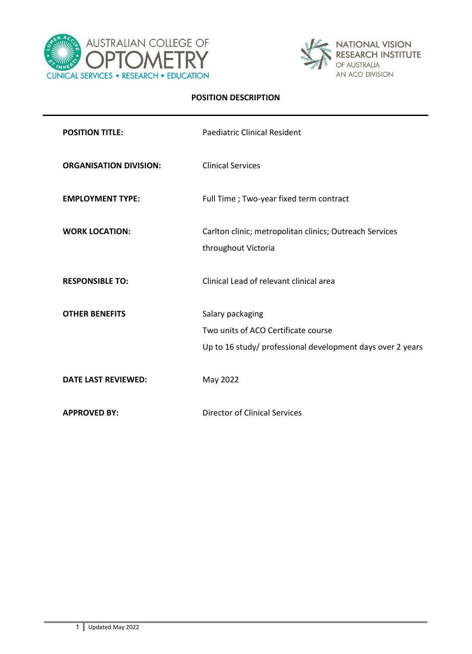



## **POSITION DESCRIPTION**

| <b>POSITION TITLE:</b>        | <b>Paediatric Clinical Resident</b>                                                                                   |
|-------------------------------|-----------------------------------------------------------------------------------------------------------------------|
| <b>ORGANISATION DIVISION:</b> | <b>Clinical Services</b>                                                                                              |
| <b>EMPLOYMENT TYPE:</b>       | Full Time ; Two-year fixed term contract                                                                              |
| <b>WORK LOCATION:</b>         | Carlton clinic; metropolitan clinics; Outreach Services<br>throughout Victoria                                        |
| <b>RESPONSIBLE TO:</b>        | Clinical Lead of relevant clinical area                                                                               |
| <b>OTHER BENEFITS</b>         | Salary packaging<br>Two units of ACO Certificate course<br>Up to 16 study/ professional development days over 2 years |
| <b>DATE LAST REVIEWED:</b>    | May 2022                                                                                                              |
| <b>APPROVED BY:</b>           | <b>Director of Clinical Services</b>                                                                                  |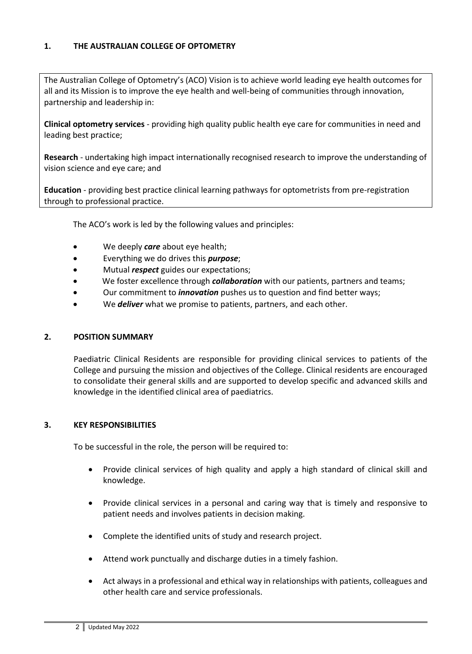# **1. THE AUSTRALIAN COLLEGE OF OPTOMETRY**

The Australian College of Optometry's (ACO) Vision is to achieve world leading eye health outcomes for all and its Mission is to improve the eye health and well-being of communities through innovation, partnership and leadership in:

**Clinical optometry services** - providing high quality public health eye care for communities in need and leading best practice;

**Research** - undertaking high impact internationally recognised research to improve the understanding of vision science and eye care; and

**Education** - providing best practice clinical learning pathways for optometrists from pre-registration through to professional practice.

The ACO's work is led by the following values and principles:

- We deeply *care* about eye health;
- Everything we do drives this *purpose*;
- Mutual *respect* guides our expectations;
- We foster excellence through *collaboration* with our patients, partners and teams;
- Our commitment to *innovation* pushes us to question and find better ways;
- We *deliver* what we promise to patients, partners, and each other.

## **2. POSITION SUMMARY**

Paediatric Clinical Residents are responsible for providing clinical services to patients of the College and pursuing the mission and objectives of the College. Clinical residents are encouraged to consolidate their general skills and are supported to develop specific and advanced skills and knowledge in the identified clinical area of paediatrics.

## **3. KEY RESPONSIBILITIES**

To be successful in the role, the person will be required to:

- Provide clinical services of high quality and apply a high standard of clinical skill and knowledge.
- Provide clinical services in a personal and caring way that is timely and responsive to patient needs and involves patients in decision making.
- Complete the identified units of study and research project.
- Attend work punctually and discharge duties in a timely fashion.
- Act always in a professional and ethical way in relationships with patients, colleagues and other health care and service professionals.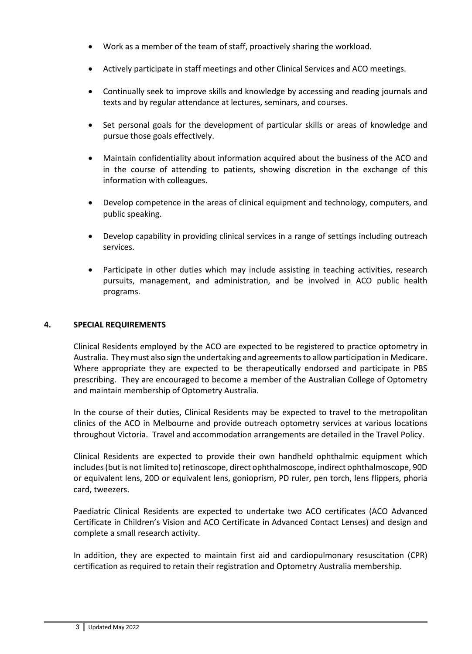- Work as a member of the team of staff, proactively sharing the workload.
- Actively participate in staff meetings and other Clinical Services and ACO meetings.
- Continually seek to improve skills and knowledge by accessing and reading journals and texts and by regular attendance at lectures, seminars, and courses.
- Set personal goals for the development of particular skills or areas of knowledge and pursue those goals effectively.
- Maintain confidentiality about information acquired about the business of the ACO and in the course of attending to patients, showing discretion in the exchange of this information with colleagues.
- Develop competence in the areas of clinical equipment and technology, computers, and public speaking.
- Develop capability in providing clinical services in a range of settings including outreach services.
- Participate in other duties which may include assisting in teaching activities, research pursuits, management, and administration, and be involved in ACO public health programs.

# **4. SPECIAL REQUIREMENTS**

Clinical Residents employed by the ACO are expected to be registered to practice optometry in Australia. They must also sign the undertaking and agreements to allow participation in Medicare. Where appropriate they are expected to be therapeutically endorsed and participate in PBS prescribing. They are encouraged to become a member of the Australian College of Optometry and maintain membership of Optometry Australia.

In the course of their duties, Clinical Residents may be expected to travel to the metropolitan clinics of the ACO in Melbourne and provide outreach optometry services at various locations throughout Victoria. Travel and accommodation arrangements are detailed in the Travel Policy.

Clinical Residents are expected to provide their own handheld ophthalmic equipment which includes (but is not limited to) retinoscope, direct ophthalmoscope, indirect ophthalmoscope, 90D or equivalent lens, 20D or equivalent lens, gonioprism, PD ruler, pen torch, lens flippers, phoria card, tweezers.

Paediatric Clinical Residents are expected to undertake two ACO certificates (ACO Advanced Certificate in Children's Vision and ACO Certificate in Advanced Contact Lenses) and design and complete a small research activity.

In addition, they are expected to maintain first aid and cardiopulmonary resuscitation (CPR) certification as required to retain their registration and Optometry Australia membership.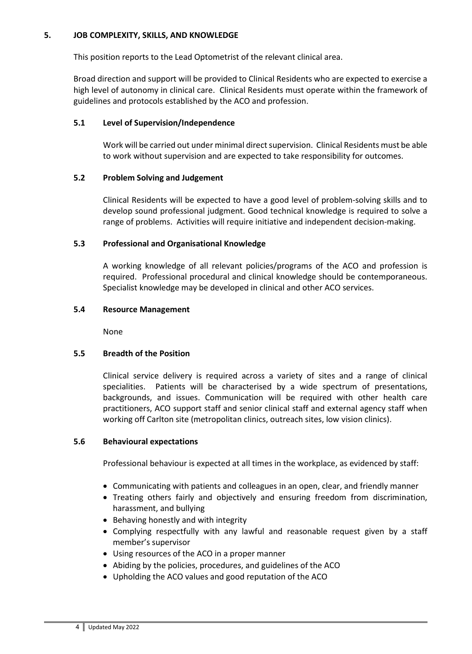# **5. JOB COMPLEXITY, SKILLS, AND KNOWLEDGE**

This position reports to the Lead Optometrist of the relevant clinical area.

Broad direction and support will be provided to Clinical Residents who are expected to exercise a high level of autonomy in clinical care. Clinical Residents must operate within the framework of guidelines and protocols established by the ACO and profession.

## **5.1 Level of Supervision/Independence**

Work will be carried out under minimal direct supervision. Clinical Residents must be able to work without supervision and are expected to take responsibility for outcomes.

## **5.2 Problem Solving and Judgement**

Clinical Residents will be expected to have a good level of problem-solving skills and to develop sound professional judgment. Good technical knowledge is required to solve a range of problems. Activities will require initiative and independent decision-making.

## **5.3 Professional and Organisational Knowledge**

A working knowledge of all relevant policies/programs of the ACO and profession is required. Professional procedural and clinical knowledge should be contemporaneous. Specialist knowledge may be developed in clinical and other ACO services.

## **5.4 Resource Management**

None

# **5.5 Breadth of the Position**

Clinical service delivery is required across a variety of sites and a range of clinical specialities. Patients will be characterised by a wide spectrum of presentations, backgrounds, and issues. Communication will be required with other health care practitioners, ACO support staff and senior clinical staff and external agency staff when working off Carlton site (metropolitan clinics, outreach sites, low vision clinics).

## **5.6 Behavioural expectations**

Professional behaviour is expected at all times in the workplace, as evidenced by staff:

- Communicating with patients and colleagues in an open, clear, and friendly manner
- Treating others fairly and objectively and ensuring freedom from discrimination, harassment, and bullying
- Behaving honestly and with integrity
- Complying respectfully with any lawful and reasonable request given by a staff member's supervisor
- Using resources of the ACO in a proper manner
- Abiding by the policies, procedures, and guidelines of the ACO
- Upholding the ACO values and good reputation of the ACO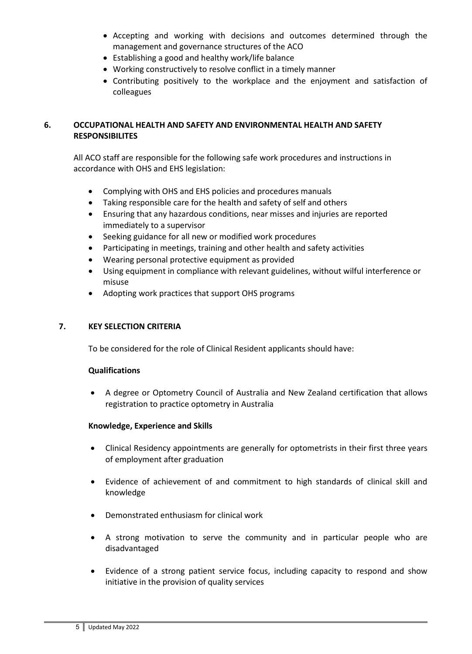- Accepting and working with decisions and outcomes determined through the management and governance structures of the ACO
- Establishing a good and healthy work/life balance
- Working constructively to resolve conflict in a timely manner
- Contributing positively to the workplace and the enjoyment and satisfaction of colleagues

# **6. OCCUPATIONAL HEALTH AND SAFETY AND ENVIRONMENTAL HEALTH AND SAFETY RESPONSIBILITES**

All ACO staff are responsible for the following safe work procedures and instructions in accordance with OHS and EHS legislation:

- Complying with OHS and EHS policies and procedures manuals
- Taking responsible care for the health and safety of self and others
- Ensuring that any hazardous conditions, near misses and injuries are reported immediately to a supervisor
- Seeking guidance for all new or modified work procedures
- Participating in meetings, training and other health and safety activities
- Wearing personal protective equipment as provided
- Using equipment in compliance with relevant guidelines, without wilful interference or misuse
- Adopting work practices that support OHS programs

# **7. KEY SELECTION CRITERIA**

To be considered for the role of Clinical Resident applicants should have:

## **Qualifications**

• A degree or Optometry Council of Australia and New Zealand certification that allows registration to practice optometry in Australia

## **Knowledge, Experience and Skills**

- Clinical Residency appointments are generally for optometrists in their first three years of employment after graduation
- Evidence of achievement of and commitment to high standards of clinical skill and knowledge
- Demonstrated enthusiasm for clinical work
- A strong motivation to serve the community and in particular people who are disadvantaged
- Evidence of a strong patient service focus, including capacity to respond and show initiative in the provision of quality services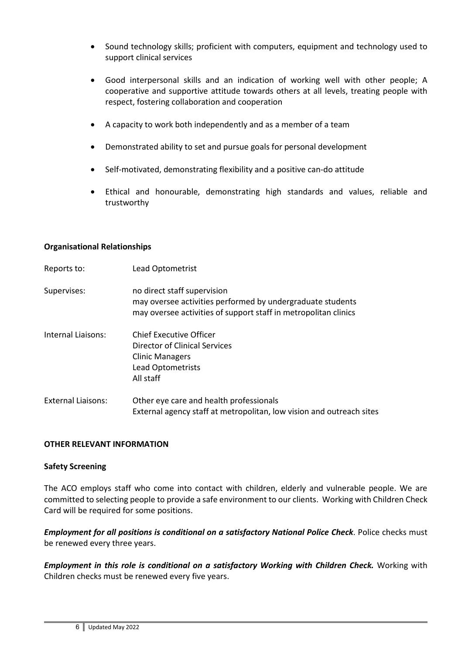- Sound technology skills; proficient with computers, equipment and technology used to support clinical services
- Good interpersonal skills and an indication of working well with other people; A cooperative and supportive attitude towards others at all levels, treating people with respect, fostering collaboration and cooperation
- A capacity to work both independently and as a member of a team
- Demonstrated ability to set and pursue goals for personal development
- Self-motivated, demonstrating flexibility and a positive can-do attitude
- Ethical and honourable, demonstrating high standards and values, reliable and trustworthy

#### **Organisational Relationships**

| Reports to:               | Lead Optometrist                                                                                                                                             |
|---------------------------|--------------------------------------------------------------------------------------------------------------------------------------------------------------|
| Supervises:               | no direct staff supervision<br>may oversee activities performed by undergraduate students<br>may oversee activities of support staff in metropolitan clinics |
| Internal Liaisons:        | Chief Executive Officer<br>Director of Clinical Services<br><b>Clinic Managers</b><br>Lead Optometrists<br>All staff                                         |
| <b>External Liaisons:</b> | Other eye care and health professionals<br>External agency staff at metropolitan, low vision and outreach sites                                              |

#### **OTHER RELEVANT INFORMATION**

#### **Safety Screening**

The ACO employs staff who come into contact with children, elderly and vulnerable people. We are committed to selecting people to provide a safe environment to our clients. Working with Children Check Card will be required for some positions.

*Employment for all positions is conditional on a satisfactory National Police Check*. Police checks must be renewed every three years.

*Employment in this role is conditional on a satisfactory Working with Children Check.* Working with Children checks must be renewed every five years.